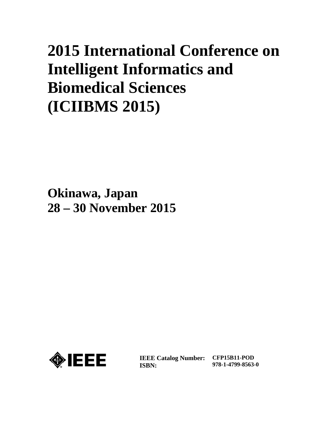## **2015 International Conference on Intelligent Informatics and Biomedical Sciences (ICIIBMS 2015)**

**Okinawa, Japan 28 – 30 November 2015**



**IEEE Catalog Number: ISBN:** 

**CFP15B11-POD 978-1-4799-8563-0**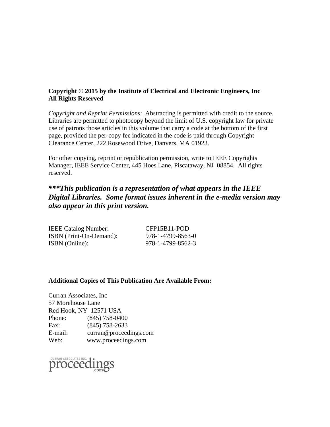## **Copyright © 2015 by the Institute of Electrical and Electronic Engineers, Inc All Rights Reserved**

*Copyright and Reprint Permissions*: Abstracting is permitted with credit to the source. Libraries are permitted to photocopy beyond the limit of U.S. copyright law for private use of patrons those articles in this volume that carry a code at the bottom of the first page, provided the per-copy fee indicated in the code is paid through Copyright Clearance Center, 222 Rosewood Drive, Danvers, MA 01923.

For other copying, reprint or republication permission, write to IEEE Copyrights Manager, IEEE Service Center, 445 Hoes Lane, Piscataway, NJ 08854. All rights reserved.

## *\*\*\*This publication is a representation of what appears in the IEEE Digital Libraries. Some format issues inherent in the e-media version may also appear in this print version.*

| <b>IEEE Catalog Number:</b> | CFP15B11-POD      |
|-----------------------------|-------------------|
| ISBN (Print-On-Demand):     | 978-1-4799-8563-0 |
| ISBN (Online):              | 978-1-4799-8562-3 |

## **Additional Copies of This Publication Are Available From:**

Curran Associates, Inc 57 Morehouse Lane Red Hook, NY 12571 USA Phone: (845) 758-0400 Fax: (845) 758-2633 E-mail: curran@proceedings.com Web: www.proceedings.com

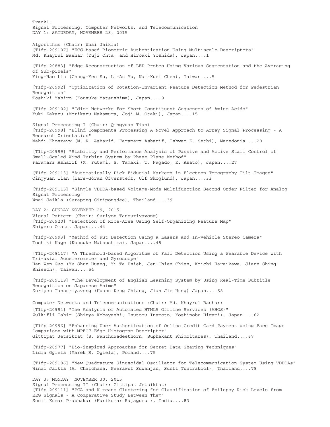Track1: Signal Processing, Computer Networks, and Telecommunication DAY 1: SATURDAY, NOVEMBER 28, 2015 Algorithms (Chair: Wnai Jaikla) [T1fp-209107] "ECG-based Biometric Authentication Using Multiscale Descriptors" Md. Khayrul Bashar (Yuji Ohta, and Hiroaki Yoshida), Japan....1 [T1fp-20883] "Edge Reconstruction of LED Probes Using Various Segmentation and the Averaging of Sub-pixels" Ying-Hao Liu (Chung-Yen Su, Li-An Yu, Nai-Kuei Chen), Taiwan....5 [T1fp-20992] "Optimization of Rotation-Invariant Feature Detection Method for Pedestrian Recognition" Toshiki Yahiro (Kousuke Matsushima), Japan....9 [T1fp-209102] "Idiom Networks for Short Constituent Sequences of Amino Acids" Yuki Kakazu (Morikazu Nakamura, Joji M. Otaki), Japan....15 Signal Processing I (Chair: Qingyuan Tian) [T1fp-20998] "Blind Components Processing A Novel Approach to Array Signal Processing - A Research Orientation" Mahdi Khosravy (M. R. Asharif, Faramarz Asharif, Ishwar K. Sethi), Macedonia....20 [T1fp-20999] "Stability and Performance Analysis of Passive and Active Stall Control of Small-Scaled Wind Turbine System by Phase Plane Method" Faramarz Asharif (M. Futami, S. Tamaki, T. Nagado, K. Asato), Japan....27 [T1fp-209113] "Automatically Pick Fiducial Markers in Electron Tomography Tilt Images" Qingyuan Tian (Lars-Göran Öfverstedt, Ulf Skoglund), Japan....33 [T1fp-209115] "Single VDDDA-based Voltage-Mode Multifunction Second Order Filter for Analog Signal Processing" Wnai Jaikla (Surapong Siripongdee), Thailand....39 DAY 2: SUNDAY NOVEMBER 29, 2015 Visual Pattern (Chair: Suriyon Tansuriyavong) [T1fp-20920] "Detection of Rice-Area Using Self-Organizing Feature Map" Shigeru Omatu, Japan....44 [T1fp-20993] "Method of Rut Detection Using a Lasers and In-vehicle Stereo Camera" Toshiki Kage (Kousuke Matsushima), Japan....48 [T1fp-209117] "A Threshold-based Algorithm of Fall Detection Using a Wearable Device with Tri-axial Accelerometer and Gyroscope" Han Wen Guo (Yu Shun Huang, Yi Ta Hsieh, Jen Chien Chien, Koichi Haraikawa, Jiann Shing Shieech), Taiwan....54 [T1fp-209119] "The Development of English Learning System by Using Real-Time Subtitle Recognition on Japanese Anime" Suriyon Tansuriyavong (Huann-Keng Chiang, Jian-Jie Hung) Japan....58 Computer Networks and Telecommunications (Chair: Md. Khayrul Bashar) [T1fp-20994] "The Analysis of Automated HTML5 Offline Services (AHOS)" Zulkifli Tahir (Shinya Kobayashi, Tsutomu Inamoto, Yoshinobu Higami), Japan....62 [T1fp-20996] "Enhancing User Authentication of Online Credit Card Payment using Face Image Comparison with MPEG7-Edge Histogram Descriptor" Gittipat Jetsiktat (S. Panthuwadeethorn, Suphakant Phimoltares), Thailand....67 [T1fp-20977] "Bio-inspired Approaches for Secret Data Sharing Techniques" Lidia Ogiela (Marek R. Ogiela), Poland....75 [T1fp-209106] "New Quadrature Sinusoidal Oscillator for Telecommunication System Using VDDDAs" Winai Jaikla (A. Chaichana, Peerawut Suwanjan, Sunti Tuntrakool), Thailand....79 DAY 3: MONDAY, NOVEMBER 30, 2015 Signal Processing II (Chair: Gittipat Jetsiktat) [T1fp-209111] "PCA and K-means Clustering for Classification of Epilepsy Risk Levels from EEG Signals - A Comparative Study Between Them" Sunil Kumar Prabhakar (Harikumar Rajaguru ), India....83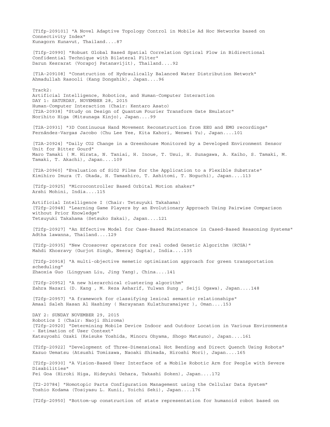[T1fp-209101] "A Novel Adaptive Topology Control in Mobile Ad Hoc Networks based on Connectivity Index" Kunagorn Kunavut, Thailand....87 [T1fp-20990] "Robust Global Based Spatial Correlation Optical Flow in Bidirectional Confidential Technique with Bilateral Filter" Darun Kesrarat (Vorapoj Patanavijit), Thailand....92 [T1A-209108] "Construction of Hydraulically Balanced Water Distribution Network" Ahmadullah Rasooli (Kang Dongshik), Japan....96 Track2: Artificial Intelligence, Robotics, and Human-Computer Interaction DAY 1: SATURDAY, NOVEMBER 28, 2015 Human-Computer Interaction (Chair: Kentaro Asato) [T2A-20938] "Study on Design of Quantum Fourier Transform Gate Emulator" Norihito Higa (Mitsunaga Kinjo), Japan....99 [T2A-20931] "3D Continuous Hand Movement Reconstruction from EEG and EMG recordings" Fernández-Vargas Jacobo (Chu Lee Yee, Kita Kahori, Wenwei Yu), Japan....101 [T2A-20924] "Daily CO2 Change in a Greenhouse Monitored by a Developed Environment Sensor Unit for Bitter Gourd" Maro Tamaki ( M. Hirata, N. Taniai, H. Inoue, T. Usui, H. Sunagawa, A. Kaiho, S. Tamaki, M. Tamaki, T. Akachi), Japan....109 [T2A-20960] "Evaluation of SiO2 Films for the Application to a Flexible Substrate" Kimihiro Imura (T. Okada, H. Tamashiro, T. Ashitomi, T. Noguchi), Japan....113 [T2fp-20925] "Microcontroller Based Orbital Motion shaker" Arshi Mohini, India....115 Artificial Intelligence I (Chair: Tetsuyuki Takahama) [T2fp-20948] "Learning Game Players by an Evolutionary Approach Using Pairwise Comparison without Prior Knowledge" Tetsuyuki Takahama (Setsuko Sakai), Japan....121 [T2fp-20927] "An Effective Model for Case-Based Maintenance in Cased-Based Reasoning Systems" Adtha lawanna, Thailand....129 [T2fp-20935] "New Crossover operators for real coded Genetic Algorithm (RCGA)" Mahdi Khosravy (Gurjot Singh, Neeraj Gupta), India....135 [T2fp-20918] "A multi-objective memetic optimization approach for green transportation scheduling" Zhaoxia Guo (Lingyuan Liu, Jing Yang), China....141 [T2fp-20952] "A new hierarchical clustering algorithm" Zahra Nazari (D. Kang , M. Reza Asharif, Yulwan Sung , Seiji Ogawa), Japan....148 [T2fp-20957] "A framework for classifying lexical semantic relationships" Amaal Saleh Hasan Al Hashimy ( Narayanan Kulathuramaiyer ), Oman....153 DAY 2: SUNDAY NOVEMBER 29, 2015 Robotics I (Chair: Naoji Shiroma) [T2fp-20920] "Determining Mobile Device Indoor and Outdoor Location in Various Environments - Estimation of User Context" Katsuyoshi Ozaki (Keisuke Yoshida, Minoru Ohyama, Shogo Matsuno), Japan....161 [T2fp-20922] "Development of Three-Dimensional Hot Bending and Direct Quench Using Robots" Kazuo Uematsu (Atsushi Tomizawa, Naoaki Shimada, Hiroshi Mori), Japan....165 [T2fp-20930] "A Vision-Based User Interface of a Mobile Robotic Arm for People with Severe Disabilities" Fei Goa (Hiroki Higa, Hideyuki Uehara, Takashi Soken), Japan....172 [T2-20784] "Homotopic Parts Configuration Management using the Cellular Data System" Toshio Kodama (Tosiyasu L. Kunii, Yoichi Seki), Japan....176 [T2fp-20950] "Bottom-up construction of state representation for humanoid robot based on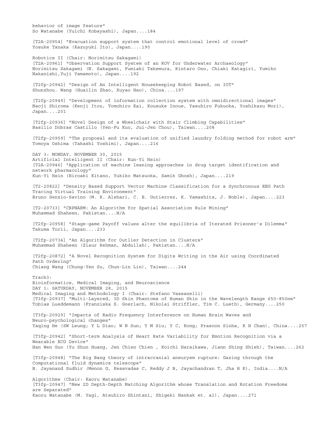behavior of image feature" So Watanabe (Yuichi Kobayashi), Japan....184 [T2A-20954] "Evacuation support system that control emotional level of crowd" Yosuke Tanaka (Kazuyuki Ito), Japan....190 Robotics II (Chair: Norimitsu Sakagami) [T2A-20961] "Observation Support System of an ROV for Underwater Archaeology" Norimitsu Sakagami (N. Sakagami, Fumiaki Takemura, Rintaro Ono, Chiaki Katagiri, Yumiko Nakanishi,Yuji Yamamoto), Japan....192 [T2fp-20942] "Design of An Intelligent Housekeeping Robot Based, on IOT" Shunzhou. Wang (Huailin Zhao, Xuyao Hao), China....197 [T2fp-20949] "Development of information collection system with omnidirectional images" Naoji Shiroma (Kenji Itou, Tomohiro Kai, Kousuke Inoue, Yasuhiro Fukuoka, Yoshikazu Mori), Japan....201 [T2fp-20936] "Novel Design of a Wheelchair with Stair Climbing Capabilities" Basilio Dobras Castillo (Yen-Fu Kuo, Jui-Jen Chou), Taiwan....208 [T2fp-20959] "The proposal and its evaluation of unified laundry folding method for robot arm" Tomoya Oshima (Takashi Yoshimi), Japan....216 DAY 3: MONDAY, NOVEMBER 30, 2015 Artificial Intelligent II (Chair: Kun-Yi Hsin) [T2A-20946] "Application of machine leaning approaches in drug target identification and network pharmacology" Kun-Yi Hsin (Hiroaki Kitano, Yukiko Matsuoka, Samik Ghosh), Japan....219 [T2-20822] "Density Based Support Vector Machine Classification for a Synchronous EEG Path Tracing Virtual Training Environment" Bruno Senzio-Savino (M. R. Alshari, C. E. Gutierrez, K. Yamashita, J. Noble), Japan....223 [T2-20733] "CBPNARM: An Algorithm for Spatial Association Rule Mining" Muhammad Shaheen, Pakistan....N/A [T2fp-20958] "Stage-game Payoff values alter the equilibria of Iterated Prisoner's Dilemma" Takuma Torii, Japan....233 [T2fp-20734] "An Algorithm for Outlier Detection in Clusters" Muhammad Shaheen (Ziaur Rehman, Abdullah), Pakistan....N/A [T2fp-20872] "A Novel Recognition System for Digits Writing in the Air using Coordinated Path Ordering" Chiang Wang (Chung-Yen Su, Chun-Lin Lin), Taiwan....244 Track3: Bioinformatics, Medical Imaging, and Neuroscience DAY 1: SATURDAY, NOVEMBER 28, 2015 Medical Imaging and Methodology I (Chair: Stefano Vassanelli) [T3fp-20937] "Multi-Layered, 3D Skin Phantoms of Human Skin in the Wavelength Range 650-850nm" Tobias Lueddemann (Franziska S. Goerlach, Nikolai Striffler, Tim C. Lueth), Germany....250 [T3fp-20929] "Impacts of Radio Frequency Interference on Human Brain Waves and Neuro-psychological changes" Yaqing He (SW Leung; Y L Diao; W N Sun; Y M Siu; Y C, Kong; Prasoon Sinha, K H Chan), China....257 [T3fp-20942] "Short-term Analysis of Heart Rate Variability for Emotion Recognition via a Wearable ECG Device" Han Wen Guo (Yu Shun Huang, Jen Chien Chien , Koichi Haraikawa, Jiann Shing Shieh), Taiwan....262 [T3fp-20948] "The Big Bang theory of intracranial aneurysm rupture: Gazing through the Computational fluid dynamics telescope" B. Jayanand Sudhir (Menon G, Kesavadas C, Reddy J B, Jayachandran T, Jha H K), India....N/A Algorithms (Chair: Kaoru Watanabe) [T3fp-20947] "New 2D Depth-Depth Matching Algorithm whose Translation and Rotation Freedoms are Separated" Kaoru Watanabe (M. Yagi, Atsuhiro Shintani, Shigeki Nankak et. al), Japan....271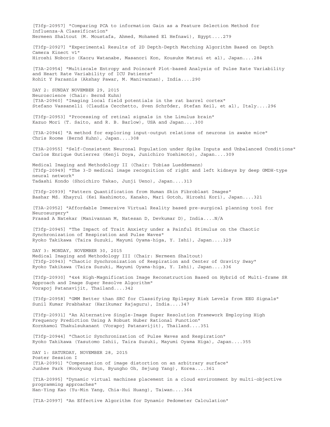[T3fp-20957] "Comparing PCA to information Gain as a Feature Selection Method for Influenza-A Classification" Nermeen Shaltout (M. Moustafa, Ahmed, Mohamed El Hefnawi), Egypt....279 [T3fp-20927] "Experimental Results of 2D Depth-Depth Matching Algorithm Based on Depth Camera Kinect v1" Hiroshi Noborio (Kaoru Watanabe, Masanori Kon, Kousuke Matsui et al), Japan....284 [T3A-20954] "Multiscale Entropy and Poincaré Plot-based Analysis of Pulse Rate Variability and Heart Rate Variability of ICU Patients" Rohit Y Parasnis (Akshay Pawar, M. Manivannan), India....290 DAY 2: SUNDAY NOVEMBER 29, 2015 Neuroscience (Chair: Bernd Kuhn) [T3A-20960] "Imaging local field potentials in the rat barrel cortex" Stefano Vassanelli (Claudia Cecchetto, Sven Schröder, Stefan Keil, et al), Italy....296 [T3fp-20953] "Processing of retinal signals in the Limulus brain" Kazuo Mori (T. Saito, and R. B. Barlow), USA and Japan....300 [T3A-20946] "A method for exploring input-output relations of neurons in awake mice" Chris Roome (Bernd Kuhn), Japan....308 [T3A-20955] "Self-Consistent Neuronal Population under Spike Inputs and Unbalanced Conditions" Carlos Enrique Gutierrez (Kenji Doya, Junichiro Yoshimoto), Japan....309 Medical Imaging and Methodology II (Chair: Tobias Lueddemann) [T3fp-20949] "The 3-D medical image recognition of right and left kidneys by deep GMDH-type neural network" Tadashi Kondo (Shoichiro Takao, Junji Ueno), Japan....313 [T3fp-20939] "Pattern Quantification from Human Skin Fibroblast Images" Bashar Md. Khayrul (Kei Hashimoto, Kanako, Mari Gotoh, Hiroshi Kori), Japan....321 [T3A-20952] "Affordable Immersive Virtual Reality based pre-surgical planning tool for Neurosurgery" Prasad A Natekar (Manivannan M, Natesan D, Devkumar D), India....N/A [T3fp-20945] "The Impact of Trait Anxiety under a Painful Stimulus on the Chaotic Synchronization of Respiration and Pulse Waves" Ryoko Takikawa (Taira Suzuki, Mayumi Oyama-higa, Y. Ishi), Japan....329 DAY 3: MONDAY, NOVEMBER 30, 2015 Medical Imaging and Methodology III (Chair: Nermeen Shaltout) [T3fp-20943] "Chaotic Synchronization of Respiration and Center of Gravity Sway" Ryoko Takikawa (Taira Suzuki, Mayumi Oyama-higa, Y. Ishi), Japan....336 [T3fp-20930] "4x4 High-Magnification Image Reconstruction Based on Hybrid of Multi-frame SR Approach and Image Super Resolve Algorithm" Vorapoj Patanavijit, Thailand....342 [T3fp-20958] "GMM Better than SRC for Classifying Epilepsy Risk Levels from EEG Signals" Sunil Kumar Prabhakar (Harikumar Rajaguru), India....347 [T3fp-20931] "An Alternative Single-Image Super Resolution Framework Employing High Frequency Prediction Using A Robust Huber Rational Function" Kornkamol Thakulsukanant (Vorapoj Patanavijit), Thailand....351 [T3fp-20944] "Chaotic Synchronization of Pulse Waves and Respiration" Ryoko Takikawa (Yasutomo Ishii, Taira Suzuki, Mayumi Oyama Higa), Japan....355 DAY 1: SATURDAY, NOVEMBER 28, 2015 Poster Session I [T1A-20991] "Compensation of image distortion on an arbitrary surface" Junhee Park (Wookyung Sun, Byungho Oh, Sejung Yang), Korea....361 [T1A-20995] "Dynamic virtual machines placement in a cloud environment by multi-objective programming approaches" Han-Ying Kao (Yu-Min Yang, Chia-Hui Huang), Taiwan....364 [T1A-20997] "An Effective Algorithm for Dynamic Pedometer Calculation"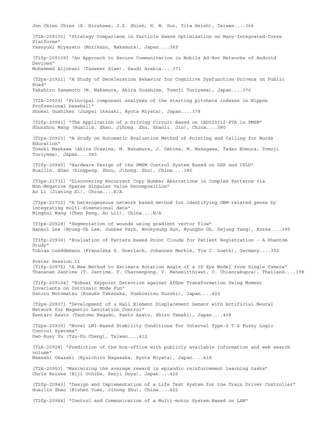Jen Chien Chien (K. Hirakawa, J.S. Shieh, H. W. Guo, Yita Hsieh), Taiwan....366 [T1A-209103] "Strategy Comparison in Particle Swarm Optimization on Many-Integrated-Cores Platforms" Yasuyuki Miyazato (Morikazu, Nakamura), Japan....369 [T1fp-209109] "An Approach to Secure Communication in Mobile Ad-Hoc Networks of Android Devices" Mohammed Aljohani (Tanweer Alam), Saudi Arabia....371 [T2ps-20921] "A Study of Deceleration Behavior for Cognitive Dysfunction Drivers on Public Road" Takahiro Yamamoto (M. Nakamura, Akira Urashima, Tomoji Toriyama), Japan....376 [T2A-20929] "Principal component analyses of the starting pitchers indexes in Nippon Professional baseball" Shokei Gushiken (Junpei Ikezaki, Ryota Miyata), Japan....378 [T2fp-20941] "The Application of a Driving Circuit Based on 1ED020I12-FTA in PMSM" Shunzhou Wang (Huailin. Zhao, Jihong. Zhu, Shanli. Jin), China....380 [T2ps-20923] "A Study on Automatic Evaluation Method of Pointing and Calling for Nurse Education" Tomoki Maekawa (Akira Urasima, M. Nakamura, J. Oshima, M. Nakagawa, Tadao Nomura, Tomoji Toriyama), Japan....383 [T2fp-20940] "Hardware Design of the PMSM Control System Based on DSP and CPLD" Huailin. Zhao (Xingpeng. Zhou, Jihong. Zhu), China....385 [T3ps-21731] "Discovering Recurrent Copy Number Aberrations in Complex Patterns via Non-Negative Sparse Singular Value Decomposition" Ao Li (Jianing Xi), China....N/A [T3ps-21732] "A heterogeneous network based method for identifying GBM-related genes by integrating multi-dimensional data" Minghui Wang (Chen Peng, Ao Li1), China....N/A [T3ps-20928] "Segmentation of wounds using gradient vector flow" Haneul Lee (Byung-Uk Lee, Junhee Park, Wookyoung Sun, Byungho Oh, Sejung Yang), Korea....390 [T3fp-20936] "Evaluation of Pattern based Point Clouds for Patient Registration - A Phantom Study" Tobias Lueddemann (Franziska S. Goerlach, Johannes Merkle, Tim C. Lueth), Germany....392 Poster Session II [T1fp-20976] "A New Method to Estimate Rotation Angle of a 3D Eye Model from Single Camera" Thananan Jantima (T. Jantima, T. Charoenpong, V. Mahasitthiwat, C. Chianrabupra), Thailand....398 [T1fp-209104] "Robust Keypoint Detection against Affine Transformation Using Moment Invariants on Intrinsic Mode Fun" Satoru Motomatsu (Kosuke Takenaka, Yoshimitsu Kuroki), Japan....403 [T2ps-20937] "Development of a Hall Element Displacement Sensor with Artificial Neural Network for Magnetic Levitation Control" Kentaro Asato (Tsutomu Nagado, Kanto Asato, Shiro Tamaki), Japan....408 [T2ps-20939] "Novel LMI-Based Stability Conditions for Interval Type-2 T-S Fuzzy Logic Control Systems" Gwo-Ruey Yu (Tzu-Fu Cheng), Taiwan....412 [T2A-20928] "Prediction of the box-office with publicly available information and web search volume" Masashi Okazaki (Ryuichiro Nagasaka, Ryota Miyata), Japan....418 [T2A-20953] "Maximizing the average reward in episodic reinforcement learning tasks" Chris Reinke (Eiji Uchibe, Kenji Doya), Japan....420 [T2fp-20943] "Design and Implementation of a Life Test System for the Train Driver Controller" Huailin Zhao (Bizhen Yuan, Jihong Zhu), China....422 [T2fp-20944] "Control and Communication of a Multi-motor System Based on LAN"